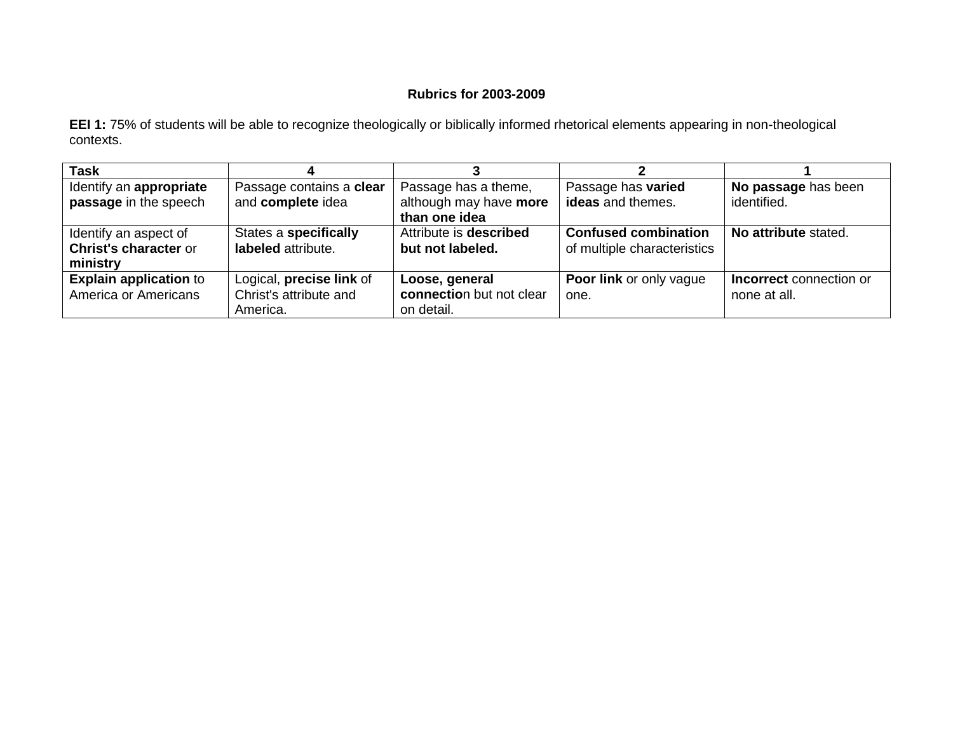## **Rubrics for 2003-2009**

**EEI 1:** 75% of students will be able to recognize theologically or biblically informed rhetorical elements appearing in non-theological contexts.

| <b>Task</b>                   |                          |                          |                                |                                |
|-------------------------------|--------------------------|--------------------------|--------------------------------|--------------------------------|
| Identify an appropriate       | Passage contains a clear | Passage has a theme,     | Passage has varied             | No passage has been            |
| passage in the speech         | and complete idea        | although may have more   | <b>ideas</b> and themes.       | identified.                    |
|                               |                          | than one idea            |                                |                                |
| Identify an aspect of         | States a specifically    | Attribute is described   | <b>Confused combination</b>    | No attribute stated.           |
| <b>Christ's character or</b>  | labeled attribute.       | but not labeled.         | of multiple characteristics    |                                |
| ministry                      |                          |                          |                                |                                |
| <b>Explain application to</b> | Logical, precise link of | Loose, general           | <b>Poor link or only vague</b> | <b>Incorrect</b> connection or |
| America or Americans          | Christ's attribute and   | connection but not clear | one.                           | none at all.                   |
|                               | America.                 | on detail.               |                                |                                |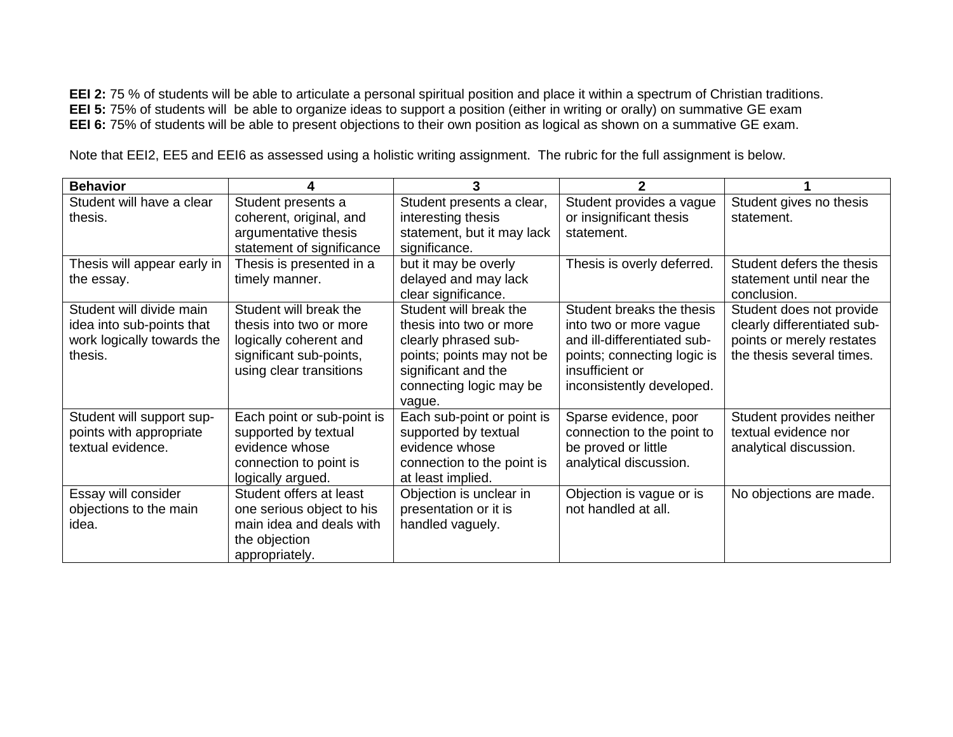**EEI 2:** 75 % of students will be able to articulate a personal spiritual position and place it within a spectrum of Christian traditions. **EEI 5:** 75% of students will be able to organize ideas to support a position (either in writing or orally) on summative GE exam **EEI 6:** 75% of students will be able to present objections to their own position as logical as shown on a summative GE exam.

Note that EEI2, EE5 and EEI6 as assessed using a holistic writing assignment. The rubric for the full assignment is below.

| <b>Behavior</b>             |                            |                            |                             |                             |
|-----------------------------|----------------------------|----------------------------|-----------------------------|-----------------------------|
| Student will have a clear   | Student presents a         | Student presents a clear,  | Student provides a vague    | Student gives no thesis     |
| thesis.                     | coherent, original, and    | interesting thesis         | or insignificant thesis     | statement.                  |
|                             | argumentative thesis       | statement, but it may lack | statement.                  |                             |
|                             | statement of significance  | significance.              |                             |                             |
| Thesis will appear early in | Thesis is presented in a   | but it may be overly       | Thesis is overly deferred.  | Student defers the thesis   |
| the essay.                  | timely manner.             | delayed and may lack       |                             | statement until near the    |
|                             |                            | clear significance.        |                             | conclusion.                 |
| Student will divide main    | Student will break the     | Student will break the     | Student breaks the thesis   | Student does not provide    |
| idea into sub-points that   | thesis into two or more    | thesis into two or more    | into two or more vague      | clearly differentiated sub- |
| work logically towards the  | logically coherent and     | clearly phrased sub-       | and ill-differentiated sub- | points or merely restates   |
| thesis.                     | significant sub-points,    | points; points may not be  | points; connecting logic is | the thesis several times.   |
|                             | using clear transitions    | significant and the        | insufficient or             |                             |
|                             |                            | connecting logic may be    | inconsistently developed.   |                             |
|                             |                            | vague.                     |                             |                             |
| Student will support sup-   | Each point or sub-point is | Each sub-point or point is | Sparse evidence, poor       | Student provides neither    |
| points with appropriate     | supported by textual       | supported by textual       | connection to the point to  | textual evidence nor        |
| textual evidence.           | evidence whose             | evidence whose             | be proved or little         | analytical discussion.      |
|                             | connection to point is     | connection to the point is | analytical discussion.      |                             |
|                             | logically argued.          | at least implied.          |                             |                             |
| Essay will consider         | Student offers at least    | Objection is unclear in    | Objection is vague or is    | No objections are made.     |
| objections to the main      | one serious object to his  | presentation or it is      | not handled at all.         |                             |
| idea.                       | main idea and deals with   | handled vaguely.           |                             |                             |
|                             | the objection              |                            |                             |                             |
|                             | appropriately.             |                            |                             |                             |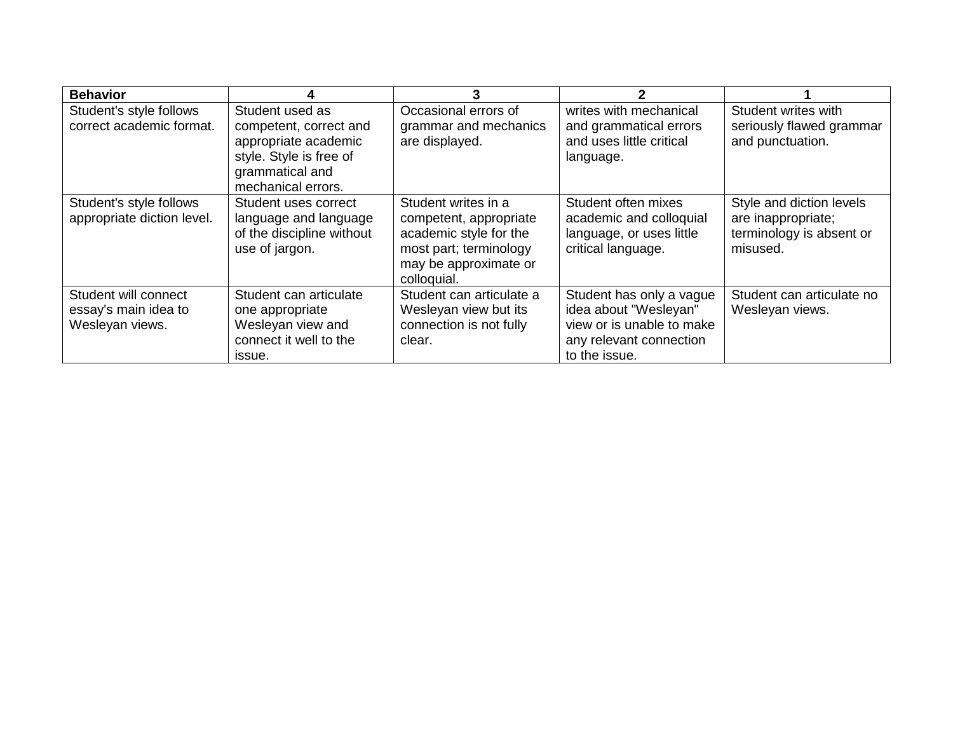| <b>Behavior</b>                                                 |                                                                                                                                       |                                                                                                                                           |                                                                                                                            |                                                                                        |
|-----------------------------------------------------------------|---------------------------------------------------------------------------------------------------------------------------------------|-------------------------------------------------------------------------------------------------------------------------------------------|----------------------------------------------------------------------------------------------------------------------------|----------------------------------------------------------------------------------------|
| Student's style follows<br>correct academic format.             | Student used as<br>competent, correct and<br>appropriate academic<br>style. Style is free of<br>grammatical and<br>mechanical errors. | Occasional errors of<br>grammar and mechanics<br>are displayed.                                                                           | writes with mechanical<br>and grammatical errors<br>and uses little critical<br>language.                                  | Student writes with<br>seriously flawed grammar<br>and punctuation.                    |
| Student's style follows<br>appropriate diction level.           | Student uses correct<br>language and language<br>of the discipline without<br>use of jargon.                                          | Student writes in a<br>competent, appropriate<br>academic style for the<br>most part; terminology<br>may be approximate or<br>colloquial. | Student often mixes<br>academic and colloquial<br>language, or uses little<br>critical language.                           | Style and diction levels<br>are inappropriate;<br>terminology is absent or<br>misused. |
| Student will connect<br>essay's main idea to<br>Wesleyan views. | Student can articulate<br>one appropriate<br>Wesleyan view and<br>connect it well to the<br>issue.                                    | Student can articulate a<br>Wesleyan view but its<br>connection is not fully<br>clear.                                                    | Student has only a vague<br>idea about "Wesleyan"<br>view or is unable to make<br>any relevant connection<br>to the issue. | Student can articulate no<br>Wesleyan views.                                           |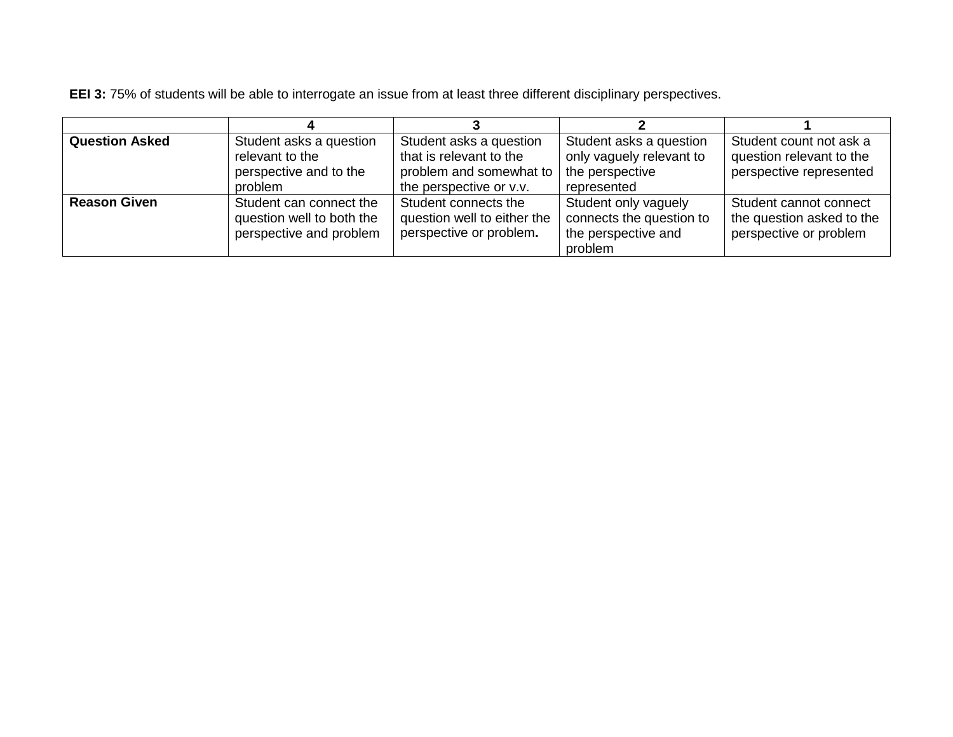**EEI 3:** 75% of students will be able to interrogate an issue from at least three different disciplinary perspectives.

| <b>Question Asked</b> | Student asks a question<br>relevant to the<br>perspective and to the<br>problem | Student asks a question<br>that is relevant to the<br>problem and somewhat to<br>the perspective or v.v. | Student asks a question<br>only vaguely relevant to<br>the perspective<br>represented | Student count not ask a<br>question relevant to the<br>perspective represented |
|-----------------------|---------------------------------------------------------------------------------|----------------------------------------------------------------------------------------------------------|---------------------------------------------------------------------------------------|--------------------------------------------------------------------------------|
| <b>Reason Given</b>   | Student can connect the<br>question well to both the<br>perspective and problem | Student connects the<br>question well to either the<br>perspective or problem.                           | Student only vaguely<br>connects the question to<br>the perspective and<br>problem    | Student cannot connect<br>the question asked to the<br>perspective or problem  |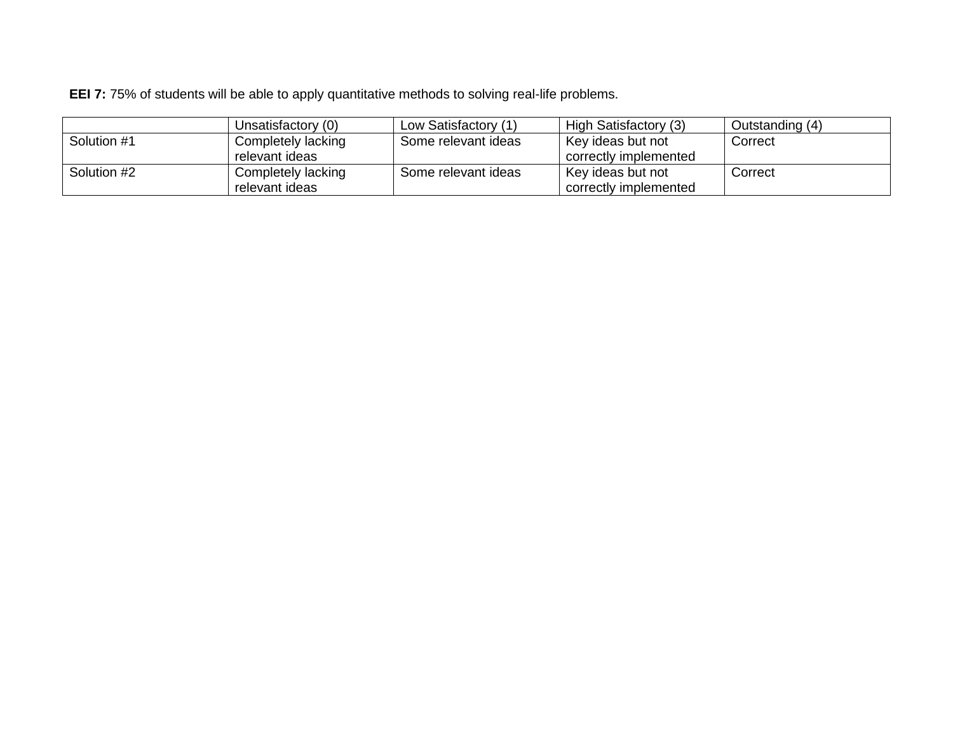**EEI 7:** 75% of students will be able to apply quantitative methods to solving real-life problems.

|             | Unsatisfactory (0) | Low Satisfactory (1) | High Satisfactory (3) | Outstanding (4) |
|-------------|--------------------|----------------------|-----------------------|-----------------|
| Solution #1 | Completely lacking | Some relevant ideas  | Key ideas but not     | Correct         |
|             | relevant ideas     |                      | correctly implemented |                 |
| Solution #2 | Completely lacking | Some relevant ideas  | Key ideas but not     | Correct         |
|             | relevant ideas     |                      | correctly implemented |                 |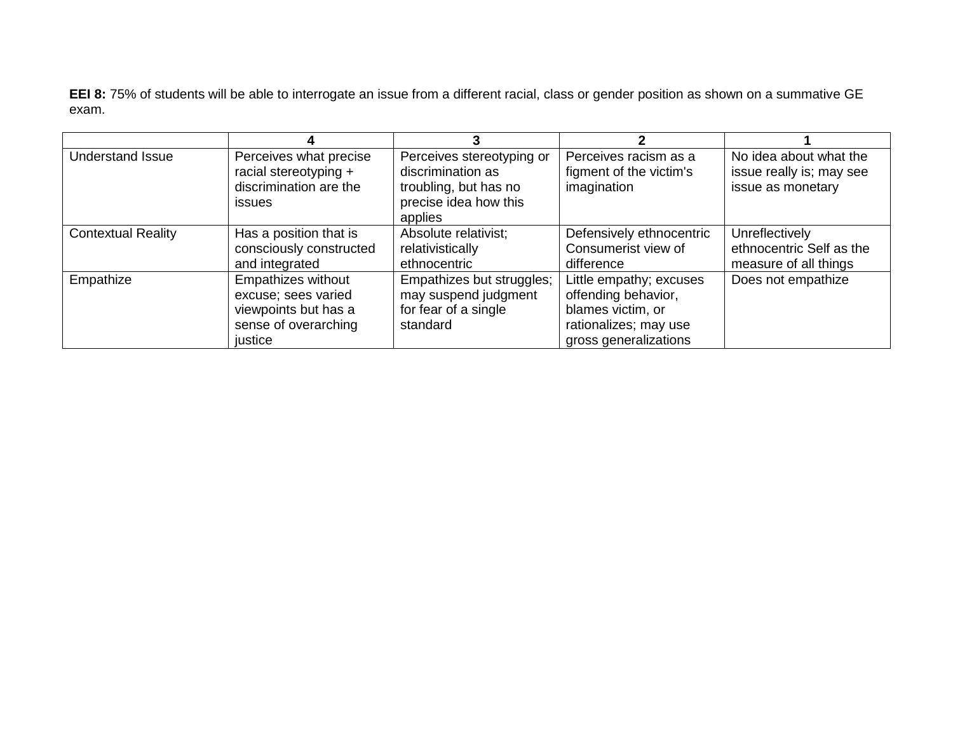**EEI 8:** 75% of students will be able to interrogate an issue from a different racial, class or gender position as shown on a summative GE exam.

| <b>Understand Issue</b>   | Perceives what precise<br>racial stereotyping +<br>discrimination are the<br><i>issues</i>                  | Perceives stereotyping or<br>discrimination as<br>troubling, but has no<br>precise idea how this<br>applies | Perceives racism as a<br>figment of the victim's<br>imagination                                                       | No idea about what the<br>issue really is; may see<br>issue as monetary |
|---------------------------|-------------------------------------------------------------------------------------------------------------|-------------------------------------------------------------------------------------------------------------|-----------------------------------------------------------------------------------------------------------------------|-------------------------------------------------------------------------|
| <b>Contextual Reality</b> | Has a position that is<br>consciously constructed<br>and integrated                                         | Absolute relativist;<br>relativistically<br>ethnocentric                                                    | Defensively ethnocentric<br>Consumerist view of<br>difference                                                         | Unreflectively<br>ethnocentric Self as the<br>measure of all things     |
| Empathize                 | <b>Empathizes without</b><br>excuse; sees varied<br>viewpoints but has a<br>sense of overarching<br>justice | Empathizes but struggles;<br>may suspend judgment<br>for fear of a single<br>standard                       | Little empathy; excuses<br>offending behavior,<br>blames victim, or<br>rationalizes; may use<br>gross generalizations | Does not empathize                                                      |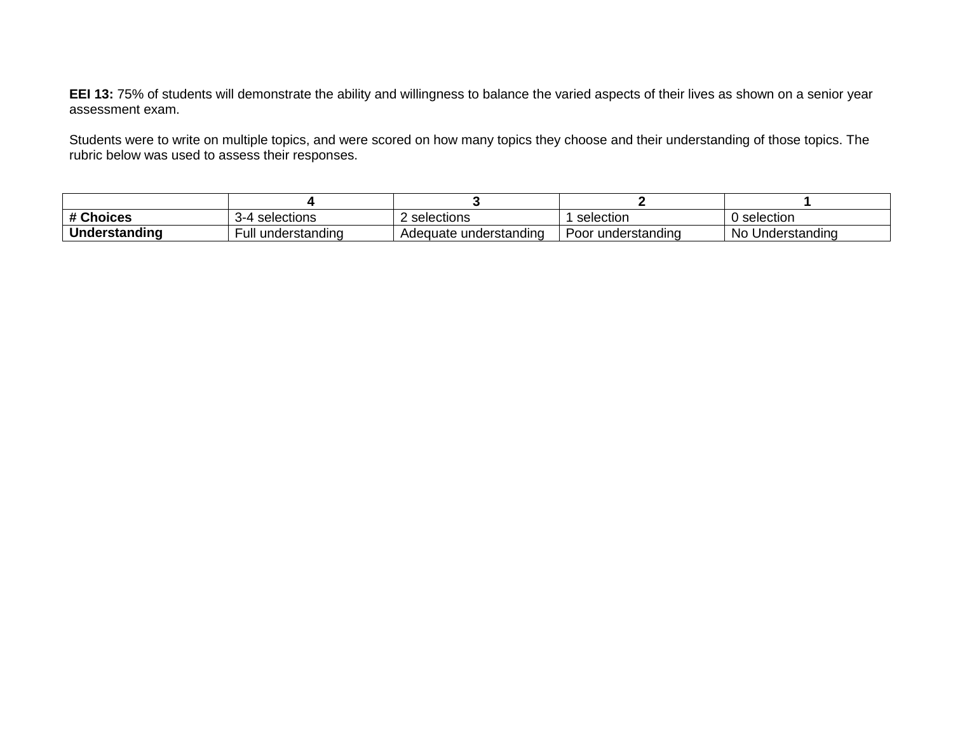**EEI 13:** 75% of students will demonstrate the ability and willingness to balance the varied aspects of their lives as shown on a senior year assessment exam.

Students were to write on multiple topics, and were scored on how many topics they choose and their understanding of those topics. The rubric below was used to assess their responses.

| # Choices     | selections<br>≺−∠ | selections             | selection          | ) selection          |
|---------------|-------------------|------------------------|--------------------|----------------------|
| Understanding | understanding     | Adequate understanding | Poor understanding | No.<br>Understanding |